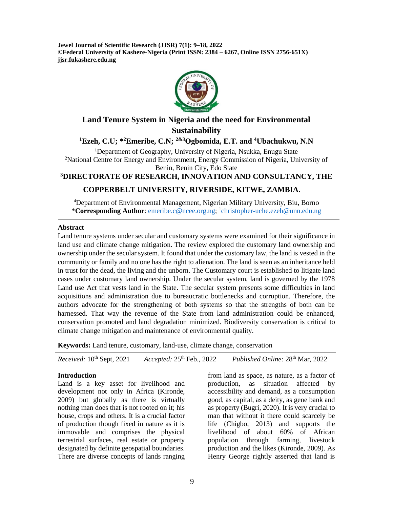**Jewel Journal of Scientific Research (JJSR) 7(1): 9–18, 2022 ©Federal University of Kashere-Nigeria (Print ISSN: 2384 – 6267, Online ISSN 2756-651X) jjsr.fukashere.edu.ng**



# **Land Tenure System in Nigeria and the need for Environmental Sustainability**

**<sup>1</sup>Ezeh, C.U; \*<sup>2</sup>Emeribe, C.N; 2&3Ogbomida, E.T. and <sup>4</sup>Ubachukwu, N.N**

<sup>1</sup>Department of Geography, University of Nigeria, Nsukka, Enugu State <sup>2</sup>National Centre for Energy and Environment, Energy Commission of Nigeria, University of Benin, Benin City, Edo State

# **<sup>3</sup>DIRECTORATE OF RESEARCH, INNOVATION AND CONSULTANCY, THE**

## **COPPERBELT UNIVERSITY, RIVERSIDE, KITWE, ZAMBIA.**

<sup>4</sup>Department of Environmental Management, Nigerian Military University, Biu, Borno \***Corresponding Author**: [emeribe.c@ncee.org.ng;](mailto:emeribe.c@ncee.org.ng) <sup>1</sup> [christopher-uche.ezeh@unn.edu.ng](mailto:christopher-uche.ezeh@unn.edu.ng)

#### **Abstract**

Land tenure systems under secular and customary systems were examined for their significance in land use and climate change mitigation. The review explored the customary land ownership and ownership under the secular system. It found that under the customary law, the land is vested in the community or family and no one has the right to alienation. The land is seen as an inheritance held in trust for the dead, the living and the unborn. The Customary court is established to litigate land cases under customary land ownership. Under the secular system, land is governed by the 1978 Land use Act that vests land in the State. The secular system presents some difficulties in land acquisitions and administration due to bureaucratic bottlenecks and corruption. Therefore, the authors advocate for the strengthening of both systems so that the strengths of both can be harnessed. That way the revenue of the State from land administration could be enhanced, conservation promoted and land degradation minimized. Biodiversity conservation is critical to climate change mitigation and maintenance of environmental quality.

**Keywords:** Land tenure, customary, land-use, climate change, conservation

| <i>Received:</i> $10^{th}$ Sept, 2021 | Accepted: $25th$ Feb., 2022 | Published Online: 28 <sup>th</sup> Mar, 2022 |
|---------------------------------------|-----------------------------|----------------------------------------------|
|---------------------------------------|-----------------------------|----------------------------------------------|

#### **Introduction**

Land is a key asset for livelihood and development not only in Africa (Kironde, 2009) but globally as there is virtually nothing man does that is not rooted on it; his house, crops and others. It is a crucial factor of production though fixed in nature as it is immovable and comprises the physical terrestrial surfaces, real estate or property designated by definite geospatial boundaries. There are diverse concepts of lands ranging

from land as space, as nature, as a factor of production, as situation affected by accessibility and demand, as a consumption good, as capital, as a deity, as gene bank and as property (Bugri, 2020). It is very crucial to man that without it there could scarcely be life (Chigbo, 2013) and supports the livelihood of about 60% of African population through farming, livestock production and the likes (Kironde, 2009). As Henry George rightly asserted that land is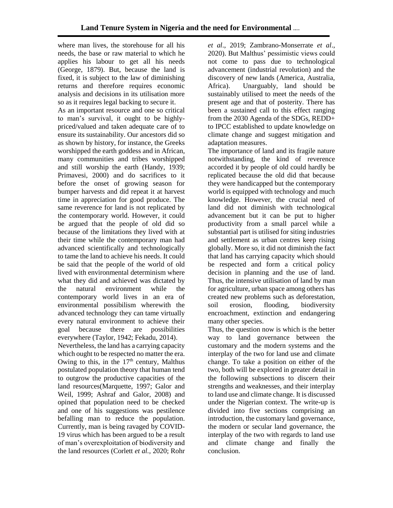where man lives, the storehouse for all his needs, the base or raw material to which he applies his labour to get all his needs (George, 1879). But, because the land is fixed, it is subject to the law of diminishing returns and therefore requires economic analysis and decisions in its utilisation more so as it requires legal backing to secure it.

As an important resource and one so critical to man's survival, it ought to be highlypriced/valued and taken adequate care of to ensure its sustainability. Our ancestors did so as shown by history, for instance, the Greeks worshipped the earth goddess and in African, many communities and tribes worshipped and still worship the earth (Handy, 1939; Primavesi, 2000) and do sacrifices to it before the onset of growing season for bumper harvests and did repeat it at harvest time in appreciation for good produce. The same reverence for land is not replicated by the contemporary world. However, it could be argued that the people of old did so because of the limitations they lived with at their time while the contemporary man had advanced scientifically and technologically to tame the land to achieve his needs. It could be said that the people of the world of old lived with environmental determinism where what they did and achieved was dictated by the natural environment while the contemporary world lives in an era of environmental possibilism wherewith the advanced technology they can tame virtually every natural environment to achieve their goal because there are possibilities everywhere (Taylor, 1942; Fekadu, 2014).

Nevertheless, the land has a carrying capacity which ought to be respected no matter the era. Owing to this, in the  $17<sup>th</sup>$  century, Malthus postulated population theory that human tend to outgrow the productive capacities of the land resources(Marquette, 1997; Galor and Weil, 1999; Ashraf and Galor, 2008) and opined that population need to be checked and one of his suggestions was pestilence befalling man to reduce the population. Currently, man is being ravaged by COVID-19 virus which has been argued to be a result of man's overexploitation of biodiversity and the land resources (Corlett *et al.,* 2020; Rohr

*et al*., 2019; Zambrano-Monserrate *et al*., 2020). But Malthus' pessimistic views could not come to pass due to technological advancement (industrial revolution) and the discovery of new lands (America, Australia, Africa). Unarguably, land should be sustainably utilised to meet the needs of the present age and that of posterity. There has been a sustained call to this effect ranging from the 2030 Agenda of the SDGs, REDD+ to IPCC established to update knowledge on climate change and suggest mitigation and adaptation measures.

The importance of land and its fragile nature notwithstanding, the kind of reverence accorded it by people of old could hardly be replicated because the old did that because they were handicapped but the contemporary world is equipped with technology and much knowledge. However, the crucial need of land did not diminish with technological advancement but it can be put to higher productivity from a small parcel while a substantial part is utilised for siting industries and settlement as urban centres keep rising globally. More so, it did not diminish the fact that land has carrying capacity which should be respected and form a critical policy decision in planning and the use of land. Thus, the intensive utilisation of land by man for agriculture, urban space among others has created new problems such as deforestation, soil erosion, flooding, biodiversity encroachment, extinction and endangering many other species.

Thus, the question now is which is the better way to land governance between the customary and the modern systems and the interplay of the two for land use and climate change. To take a position on either of the two, both will be explored in greater detail in the following subsections to discern their strengths and weaknesses, and their interplay to land use and climate change. It is discussed under the Nigerian context. The write-up is divided into five sections comprising an introduction, the customary land governance, the modern or secular land governance, the interplay of the two with regards to land use and climate change and finally the conclusion.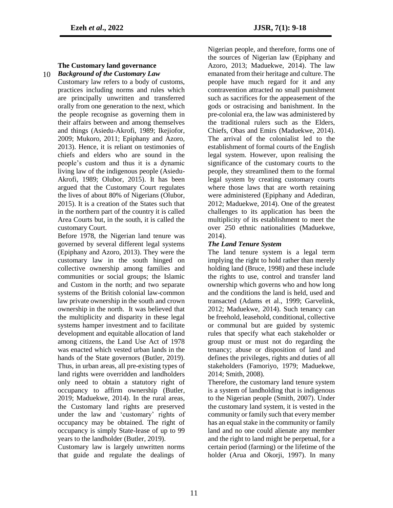## **The Customary land governance** *Background of the Customary Law* 10

Customary law refers to a body of customs, practices including norms and rules which are principally unwritten and transferred orally from one generation to the next, which the people recognise as governing them in their affairs between and among themselves and things (Asiedu-Akrofi, 1989; Ikejiofor, 2009; Mukoro, 2011; Epiphany and Azoro, 2013). Hence, it is reliant on testimonies of chiefs and elders who are sound in the people's custom and thus it is a dynamic living law of the indigenous people (Asiedu-Akrofi, 1989; Olubor, 2015). It has been argued that the Customary Court regulates the lives of about 80% of Nigerians (Olubor, 2015). It is a creation of the States such that in the northern part of the country it is called Area Courts but, in the south, it is called the customary Court.

Before 1978, the Nigerian land tenure was governed by several different legal systems (Epiphany and Azoro, 2013). They were the customary law in the south hinged on collective ownership among families and communities or social groups; the Islamic and Custom in the north; and two separate systems of the British colonial law-common law private ownership in the south and crown ownership in the north. It was believed that the multiplicity and disparity in these legal systems hamper investment and to facilitate development and equitable allocation of land among citizens, the Land Use Act of 1978 was enacted which vested urban lands in the hands of the State governors (Butler, 2019). Thus, in urban areas, all pre-existing types of land rights were overridden and landholders only need to obtain a statutory right of occupancy to affirm ownership (Butler, 2019; Maduekwe, 2014). In the rural areas, the Customary land rights are preserved under the law and 'customary' rights of occupancy may be obtained. The right of occupancy is simply State-lease of up to 99 years to the landholder (Butler, 2019).

Customary law is largely unwritten norms that guide and regulate the dealings of Nigerian people, and therefore, forms one of the sources of Nigerian law (Epiphany and Azoro, 2013; Maduekwe, 2014). The law emanated from their heritage and culture. The people have much regard for it and any contravention attracted no small punishment such as sacrifices for the appeasement of the gods or ostracising and banishment. In the pre-colonial era, the law was administered by the traditional rulers such as the Elders, Chiefs, Obas and Emirs (Maduekwe, 2014). The arrival of the colonialist led to the establishment of formal courts of the English legal system. However, upon realising the significance of the customary courts to the people, they streamlined them to the formal legal system by creating customary courts where those laws that are worth retaining were administered (Epiphany and Adediran, 2012; Maduekwe, 2014). One of the greatest challenges to its application has been the multiplicity of its establishment to meet the over 250 ethnic nationalities (Maduekwe, 2014).

## *The Land Tenure System*

The land tenure system is a legal term implying the right to hold rather than merely holding land (Bruce, 1998) and these include the rights to use, control and transfer land ownership which governs who and how long and the conditions the land is held, used and transacted (Adams et al., 1999; Garvelink, 2012; Maduekwe, 2014). Such tenancy can be freehold, leasehold, conditional, collective or communal but are guided by systemic rules that specify what each stakeholder or group must or must not do regarding the tenancy; abuse or disposition of land and defines the privileges, rights and duties of all stakeholders (Famoriyo, 1979; Maduekwe, 2014; Smith, 2008).

Therefore, the customary land tenure system is a system of landholding that is indigenous to the Nigerian people (Smith, 2007). Under the customary land system, it is vested in the community or family such that every member has an equal stake in the community or family land and no one could alienate any member and the right to land might be perpetual, for a certain period (farming) or the lifetime of the holder (Arua and Okorji, 1997). In many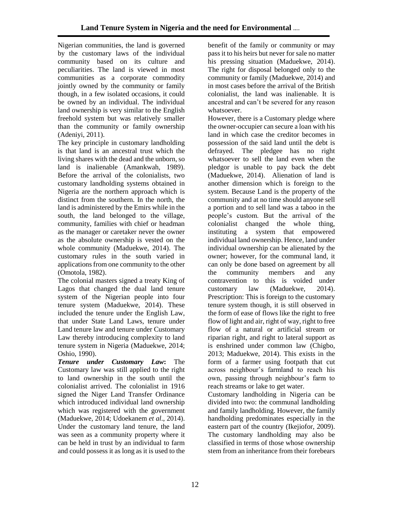Nigerian communities, the land is governed by the customary laws of the individual community based on its culture and peculiarities. The land is viewed in most communities as a corporate commodity jointly owned by the community or family though, in a few isolated occasions, it could be owned by an individual. The individual land ownership is very similar to the English freehold system but was relatively smaller than the community or family ownership (Adeniyi, 2011).

The key principle in customary landholding is that land is an ancestral trust which the living shares with the dead and the unborn, so land is inalienable (Amankwah, 1989). Before the arrival of the colonialists, two customary landholding systems obtained in Nigeria are the northern approach which is distinct from the southern. In the north, the land is administered by the Emirs while in the south, the land belonged to the village, community, families with chief or headman as the manager or caretaker never the owner as the absolute ownership is vested on the whole community (Maduekwe, 2014). The customary rules in the south varied in applications from one community to the other (Omotola, 1982).

The colonial masters signed a treaty King of Lagos that changed the dual land tenure system of the Nigerian people into four tenure system (Maduekwe, 2014). These included the tenure under the English Law, that under State Land Laws, tenure under Land tenure law and tenure under Customary Law thereby introducing complexity to land tenure system in Nigeria (Maduekwe, 2014; Oshio, 1990).

*Tenure under Customary Law***:** The Customary law was still applied to the right to land ownership in the south until the colonialist arrived. The colonialist in 1916 signed the Niger Land Transfer Ordinance which introduced individual land ownership which was registered with the government (Maduekwe, 2014; Udoekanem *et al*., 2014). Under the customary land tenure, the land was seen as a community property where it can be held in trust by an individual to farm and could possess it as long as it is used to the benefit of the family or community or may pass it to his heirs but never for sale no matter his pressing situation (Maduekwe, 2014). The right for disposal belonged only to the community or family (Maduekwe, 2014) and in most cases before the arrival of the British colonialist, the land was inalienable. It is ancestral and can't be severed for any reason whatsoever.

However, there is a Customary pledge where the owner-occupier can secure a loan with his land in which case the creditor becomes in possession of the said land until the debt is defrayed. The pledgee has no right whatsoever to sell the land even when the pledgor is unable to pay back the debt (Maduekwe, 2014). Alienation of land is another dimension which is foreign to the system. Because Land is the property of the community and at no time should anyone sell a portion and to sell land was a taboo in the people's custom. But the arrival of the colonialist changed the whole thing, instituting a system that empowered individual land ownership. Hence, land under individual ownership can be alienated by the owner; however, for the communal land, it can only be done based on agreement by all the community members and any contravention to this is voided under customary law (Maduekwe, 2014). Prescription: This is foreign to the customary tenure system though, it is still observed in the form of ease of flows like the right to free flow of light and air, right of way, right to free flow of a natural or artificial stream or riparian right, and right to lateral support as is enshrined under common law (Chigbo, 2013; Maduekwe, 2014). This exists in the form of a farmer using footpath that cut across neighbour's farmland to reach his own, passing through neighbour's farm to reach streams or lake to get water.

Customary landholding in Nigeria can be divided into two: the communal landholding and family landholding. However, the family handholding predominates especially in the eastern part of the country (Ikejiofor, 2009). The customary landholding may also be classified in terms of those whose ownership stem from an inheritance from their forebears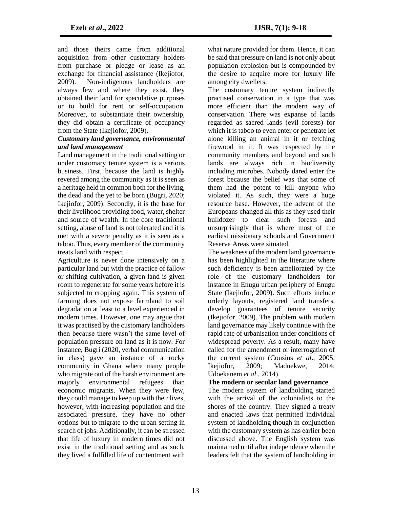and those theirs came from additional acquisition from other customary holders from purchase or pledge or lease as an exchange for financial assistance (Ikejiofor, 2009). Non-indigenous landholders are always few and where they exist, they obtained their land for speculative purposes or to build for rent or self-occupation. Moreover, to substantiate their ownership, they did obtain a certificate of occupancy from the State (Ikejiofor, 2009).

#### *Customary land governance, environmental and land management*

Land management in the traditional setting or under customary tenure system is a serious business. First, because the land is highly revered among the community as it is seen as a heritage held in common both for the living, the dead and the yet to be born (Bugri, 2020; Ikejiofor, 2009). Secondly, it is the base for their livelihood providing food, water, shelter and source of wealth. In the core traditional setting, abuse of land is not tolerated and it is met with a severe penalty as it is seen as a taboo. Thus, every member of the community treats land with respect.

Agriculture is never done intensively on a particular land but with the practice of fallow or shifting cultivation, a given land is given room to regenerate for some years before it is subjected to cropping again. This system of farming does not expose farmland to soil degradation at least to a level experienced in modern times. However, one may argue that it was practised by the customary landholders then because there wasn't the same level of population pressure on land as it is now. For instance, Bugri (2020, verbal communication in class) gave an instance of a rocky community in Ghana where many people who migrate out of the harsh environment are majorly environmental refugees than economic migrants. When they were few, they could manage to keep up with their lives, however, with increasing population and the associated pressure, they have no other options but to migrate to the urban setting in search of jobs. Additionally, it can be stressed that life of luxury in modern times did not exist in the traditional setting and as such, they lived a fulfilled life of contentment with

what nature provided for them. Hence, it can be said that pressure on land is not only about population explosion but is compounded by the desire to acquire more for luxury life among city dwellers.

The customary tenure system indirectly practised conservation in a type that was more efficient than the modern way of conservation. There was expanse of lands regarded as sacred lands (evil forests) for which it is taboo to even enter or penetrate let alone killing an animal in it or fetching firewood in it. It was respected by the community members and beyond and such lands are always rich in biodiversity including microbes. Nobody dared enter the forest because the belief was that some of them had the potent to kill anyone who violated it. As such, they were a huge resource base. However, the advent of the Europeans changed all this as they used their bulldozer to clear such forests and unsurprisingly that is where most of the earliest missionary schools and Government Reserve Areas were situated.

The weakness of the modern land governance has been highlighted in the literature where such deficiency is been ameliorated by the role of the customary landholders for instance in Enugu urban periphery of Enugu State (Ikejiofor, 2009). Such efforts include orderly layouts, registered land transfers, develop guarantees of tenure security (Ikejiofor, 2009). The problem with modern land governance may likely continue with the rapid rate of urbanisation under conditions of widespread poverty. As a result, many have called for the amendment or interrogation of the current system (Cousins *et al*., 2005; Ikejiofor, 2009; Maduekwe, 2014; Udoekanem *et al*., 2014).

#### **The modern or secular land governance**

The modern system of landholding started with the arrival of the colonialists to the shores of the country. They signed a treaty and enacted laws that permitted individual system of landholding though in conjunction with the customary system as has earlier been discussed above. The English system was maintained until after independence when the leaders felt that the system of landholding in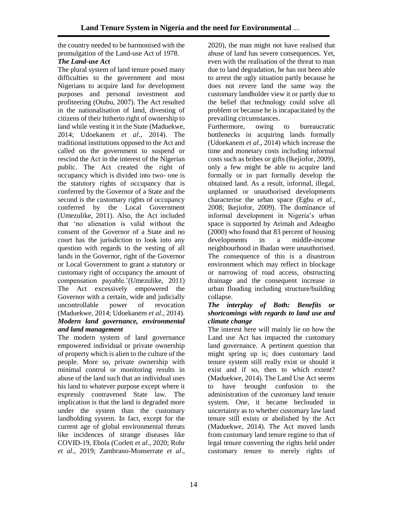the country needed to be harmonised with the promulgation of the Land-use Act of 1978.

# *The Land-use Act*

The plural system of land tenure posed many difficulties to the government and most Nigerians to acquire land for development purposes and personal investment and profiteering (Otubu, 2007). The Act resulted in the nationalisation of land, divesting of citizens of their hitherto right of ownership to land while vesting it in the State (Maduekwe, 2014; Udoekanem *et al*., 2014). The traditional institutions opposed to the Act and called on the government to suspend or rescind the Act in the interest of the Nigerian public. The Act created the right of occupancy which is divided into two- one is the statutory rights of occupancy that is conferred by the Governor of a State and the second is the customary rights of occupancy conferred by the Local Government (Umezulike, 2011). Also, the Act included that 'no alienation is valid without the consent of the Governor of a State and no court has the jurisdiction to look into any question with regards to the vesting of all lands in the Governor, right of the Governor or Local Government to grant a statutory or customary right of occupancy the amount of compensation payable.'(Umezulike, 2011) The Act excessively empowered the Governor with a certain, wide and judicially uncontrollable power of revocation (Maduekwe, 2014; Udoekanem *et al*., 2014). *Modern land governance, environmental and land management*

The modern system of land governance empowered individual or private ownership of property which is alien to the culture of the people. More so, private ownership with minimal control or monitoring results in abuse of the land such that an individual uses his land to whatever purpose except where it expressly contravened State law. The implication is that the land is degraded more under the system than the customary landholding system. In fact, except for the current age of global environmental threats like incidences of strange diseases like COVID-19, Ebola (Corlett *et al*., 2020; Rohr *et al*., 2019; Zambrano-Monserrate *et al*.,

2020), the man might not have realised that abuse of land has severe consequences. Yet, even with the realisation of the threat to man due to land degradation, he has not been able to arrest the ugly situation partly because he does not revere land the same way the customary landholder view it or partly due to the belief that technology could solve all problem or because he is incapacitated by the prevailing circumstances.

Furthermore, owing to bureaucratic bottlenecks in acquiring lands formally (Udoekanem *et al*., 2014) which increase the time and monetary costs including informal costs such as bribes or gifts (Ikejiofor, 2009), only a few might be able to acquire land formally or in part formally develop the obtained land. As a result, informal, illegal, unplanned or unauthorised developments characterise the urban space (Egbu *et al.*, 2008; Ikejiofor, 2009). The dominance of informal development in Nigeria's urban space is supported by Arimah and Adeagbo (2000) who found that 83 percent of housing developments in a middle-income neighbourhood in Ibadan were unauthorised. The consequence of this is a disastrous environment which may reflect in blockage or narrowing of road access, obstructing drainage and the consequent increase in urban flooding including structure/building collapse.

#### *The interplay of Both: Benefits or shortcomings with regards to land use and climate change*

The interest here will mainly lie on how the Land use Act has impacted the customary land governance. A pertinent question that might spring up is; does customary land tenure system still really exist or should it exist and if so, then to which extent? (Maduekwe, 2014). The Land Use Act seems to have brought confusion to the administration of the customary land tenure system. One, it became beclouded in uncertainty as to whether customary law land tenure still exists or abolished by the Act (Maduekwe, 2014). The Act moved lands from customary land tenure regime to that of legal tenure converting the rights held under customary tenure to merely rights of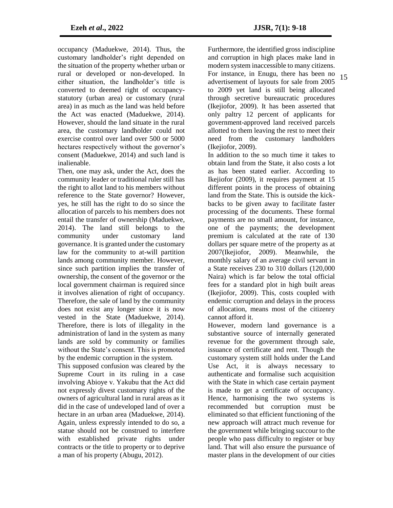occupancy (Maduekwe, 2014). Thus, the customary landholder's right depended on the situation of the property whether urban or rural or developed or non-developed. In either situation, the landholder's title is converted to deemed right of occupancystatutory (urban area) or customary (rural area) in as much as the land was held before the Act was enacted (Maduekwe, 2014). However, should the land situate in the rural area, the customary landholder could not exercise control over land over 500 or 5000 hectares respectively without the governor's consent (Maduekwe, 2014) and such land is inalienable.

Then, one may ask, under the Act, does the community leader or traditional ruler still has the right to allot land to his members without reference to the State governor? However, yes, he still has the right to do so since the allocation of parcels to his members does not entail the transfer of ownership (Maduekwe, 2014). The land still belongs to the community under customary land governance. It is granted under the customary law for the community to at-will partition lands among community member. However, since such partition implies the transfer of ownership, the consent of the governor or the local government chairman is required since it involves alienation of right of occupancy. Therefore, the sale of land by the community does not exist any longer since it is now vested in the State (Maduekwe, 2014). Therefore, there is lots of illegality in the administration of land in the system as many lands are sold by community or families without the State's consent. This is promoted by the endemic corruption in the system.

This supposed confusion was cleared by the Supreme Court in its ruling in a case involving Abioye v. Yakubu that the Act did not expressly divest customary rights of the owners of agricultural land in rural areas as it did in the case of undeveloped land of over a hectare in an urban area (Maduekwe, 2014). Again, unless expressly intended to do so, a statue should not be construed to interfere with established private rights under contracts or the title to property or to deprive a man of his property (Abugu, 2012).

Furthermore, the identified gross indiscipline and corruption in high places make land in modern system inaccessible to many citizens. For instance, in Enugu, there has been no advertisement of layouts for sale from 2005 to 2009 yet land is still being allocated through secretive bureaucratic procedures (Ikejiofor, 2009). It has been asserted that only paltry 12 percent of applicants for government-approved land received parcels allotted to them leaving the rest to meet their need from the customary landholders (Ikejiofor, 2009).

In addition to the so much time it takes to obtain land from the State, it also costs a lot as has been stated earlier. According to Ikejiofor (2009), it requires payment at 15 different points in the process of obtaining land from the State. This is outside the kickbacks to be given away to facilitate faster processing of the documents. These formal payments are no small amount, for instance, one of the payments; the development premium is calculated at the rate of 130 dollars per square metre of the property as at 2007(Ikejiofor, 2009). Meanwhile, the monthly salary of an average civil servant in a State receives 230 to 310 dollars (120,000 Naira) which is far below the total official fees for a standard plot in high built areas (Ikejiofor, 2009). This, costs coupled with endemic corruption and delays in the process of allocation, means most of the citizenry cannot afford it.

However, modern land governance is a substantive source of internally generated revenue for the government through sale, issuance of certificate and rent. Though the customary system still holds under the Land Use Act, it is always necessary to authenticate and formalise such acquisition with the State in which case certain payment is made to get a certificate of occupancy. Hence, harmonising the two systems is recommended but corruption must be eliminated so that efficient functioning of the new approach will attract much revenue for the government while bringing succour to the people who pass difficulty to register or buy land. That will also ensure the pursuance of master plans in the development of our cities

15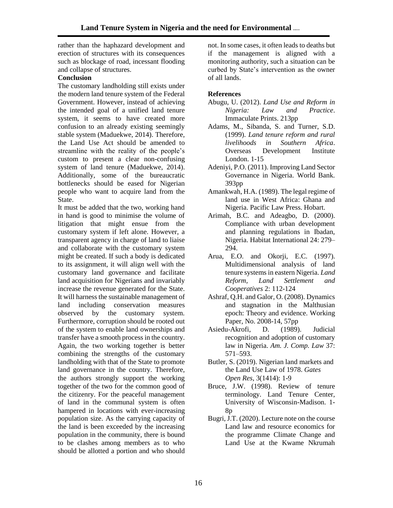rather than the haphazard development and erection of structures with its consequences such as blockage of road, incessant flooding and collapse of structures.

# **Conclusion**

The customary landholding still exists under the modern land tenure system of the Federal Government. However, instead of achieving the intended goal of a unified land tenure system, it seems to have created more confusion to an already existing seemingly stable system (Maduekwe, 2014). Therefore, the Land Use Act should be amended to streamline with the reality of the people's custom to present a clear non-confusing system of land tenure (Maduekwe, 2014). Additionally, some of the bureaucratic bottlenecks should be eased for Nigerian people who want to acquire land from the State.

It must be added that the two, working hand in hand is good to minimise the volume of litigation that might ensue from the customary system if left alone. However, a transparent agency in charge of land to liaise and collaborate with the customary system might be created. If such a body is dedicated to its assignment, it will align well with the customary land governance and facilitate land acquisition for Nigerians and invariably increase the revenue generated for the State. It will harness the sustainable management of land including conservation measures observed by the customary system. Furthermore, corruption should be rooted out of the system to enable land ownerships and transfer have a smooth process in the country. Again, the two working together is better combining the strengths of the customary landholding with that of the State to promote land governance in the country. Therefore, the authors strongly support the working together of the two for the common good of the citizenry. For the peaceful management of land in the communal system is often hampered in locations with ever-increasing population size. As the carrying capacity of the land is been exceeded by the increasing population in the community, there is bound to be clashes among members as to who should be allotted a portion and who should

not. In some cases, it often leads to deaths but if the management is aligned with a monitoring authority, such a situation can be curbed by State's intervention as the owner of all lands.

#### **References**

- Abugu, U. (2012). *Land Use and Reform in Nigeria: Law and Practice*. Immaculate Prints. 213pp
- Adams, M., Sibanda, S. and Turner, S.D. (1999). *Land tenure reform and rural livelihoods in Southern Africa*. Overseas Development Institute London. 1-15
- Adeniyi, P.O. (2011). Improving Land Sector Governance in Nigeria. World Bank. 393pp
- Amankwah, H.A. (1989). The legal regime of land use in West Africa: Ghana and Nigeria. Pacific Law Press. Hobart.
- Arimah, B.C. and Adeagbo, D. (2000). Compliance with urban development and planning regulations in Ibadan, Nigeria. Habitat International 24: 279– 294.
- Arua, E.O. and Okorji, E.C. (1997). Multidimensional analysis of land tenure systems in eastern Nigeria. *Land Reform, Land Settlement and Cooperatives* 2: 112-124
- Ashraf, Q.H. and Galor, O. (2008). Dynamics and stagnation in the Malthusian epoch: Theory and evidence. Working Paper, No. 2008-14, 57pp
- Asiedu-Akrofi, D. (1989). Judicial recognition and adoption of customary law in Nigeria. *Am. J. Comp. Law* 37: 571–593.
- Butler, S. (2019). Nigerian land markets and the Land Use Law of 1978. *Gates Open Res*, 3(1414): 1-9
- Bruce, J.W. (1998). Review of tenure terminology. Land Tenure Center, University of Wisconsin-Madison. 1- 8p
- Bugri, J.T. (2020). Lecture note on the course Land law and resource economics for the programme Climate Change and Land Use at the Kwame Nkrumah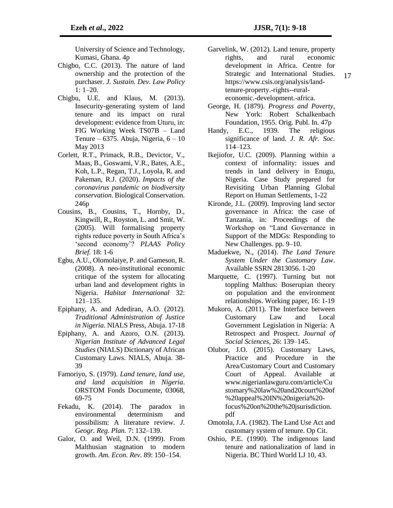University of Science and Technology, Kumasi, Ghana. 4p

- Chigbo, C.C. (2013). The nature of land ownership and the protection of the purchaser. *J. Sustain. Dev. Law Policy* 1: 1–20.
- Chigbu, U.E. and Klaus, M. (2013). Insecurity-generating system of land tenure and its impact on rural development: evidence from Uturu, in: FIG Working Week TS07B – Land Tenure – 6375. Abuja, Nigeria,  $6 - 10$ May 2013
- Corlett, R.T., Primack, R.B., Devictor, V., Maas, B., Goswami, V.R., Bates, A.E., Koh, L.P., Regan, T.J., Loyola, R. and Pakeman, R.J. (2020). *Impacts of the coronavirus pandemic on biodiversity conservation*. Biological Conservation. 246p
- Cousins, B., Cousins, T., Hornby, D., Kingwill, R., Royston, L. and Smit, W. (2005). Will formalising property rights reduce poverty in South Africa's 'second economy'? *PLAAS Policy Brief.* 18: 1-6
- Egbu, A.U., Olomolaiye, P. and Gameson, R. (2008). A neo-institutional economic critique of the system for allocating urban land and development rights in Nigeria. *Habitat International* 32: 121–135.
- Epiphany, A. and Adediran, A.O. (2012). *Traditional Administration of Justice in Nigeria*. NIALS Press, Abuja. 17-18
- Epiphany, A. and Azoro, O.N. (2013). *Nigerian Institute of Advanced Legal Studies* (NIALS) Dictionary of African Customary Laws. NIALS, Abuja. 38- 39
- Famoriyo, S. (1979). *Land tenure, land use, and land acquisition in Nigeria*. ORSTOM Fonds Documente, 03068, 69-75
- Fekadu, K. (2014). The paradox in environmental determinism and possibilism: A literature review. *J. Geogr. Reg. Plan.* 7: 132–139.
- Galor, O. and Weil, D.N. (1999). From Malthusian stagnation to modern growth. *Am. Econ. Rev.* 89: 150–154.
- Garvelink, W. (2012). Land tenure, property rights, and rural economic development in Africa. Centre for Strategic and International Studies. https://www.csis.org/analysis/landtenure-property.-rights--ruraleconomic.-development.-africa.
- George, H. (1879). *Progress and Poverty*, New York: Robert Schalkenbach Foundation, 1955. Orig. Publ. In. 47p
- Handy, E.C., 1939. The religious significance of land. *J. R. Afr. Soc.* 114–123.
- Ikejiofor, U.C. (2009). Planning within a context of informality: issues and trends in land delivery in Enugu, Nigeria. Case Study prepared for Revisiting Urban Planning Global Report on Human Settlements, 1-22
- Kironde, J.L. (2009). Improving land sector governance in Africa: the case of Tanzania, in: Proceedings of the Workshop on "Land Governance in Support of the MDGs: Responding to New Challenges. pp. 9–10.
- Maduekwe, N., (2014). *The Land Tenure System Under the Customary Law*. Available SSRN 2813056. 1-20
- Marquette, C. (1997). Turning but not toppling Malthus: Boserupian theory on population and the environment relationships. Working paper, 16: 1-19
- Mukoro, A. (2011). The Interface between Customary Law and Local Government Legislation in Nigeria: A Retrospect and Prospect. *Journal of Social Sciences*, 26: 139–145.
- Olubor, J.O. (2015). Customary Laws, Practice and Procedure in the Area/Customary Court and Customary Court of Appeal. Available at www.nigerianlawguru.com/article/Cu stomary%20law%20and20court%20of %20appeal%20IN%20nigeria%20 focus%20on%20the%20jsurisdiction. pdf
- Omotola, J.A. (1982). The Land Use Act and customary system of tenure. Op Cit.
- Oshio, P.E. (1990). The indigenous land tenure and nationalization of land in Nigeria. BC Third World LJ 10, 43.